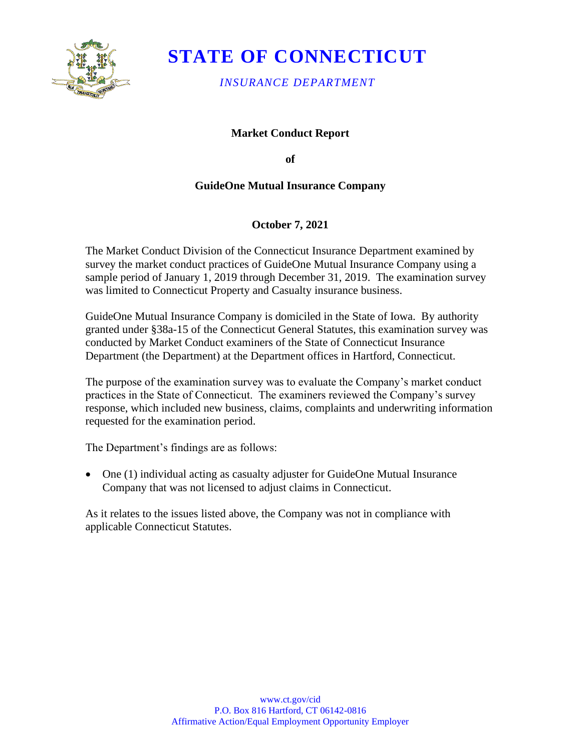

# **STATE OF CONNECTICUT**

*INSURANCE DEPARTMENT*

## **Market Conduct Report**

**of** 

## **GuideOne Mutual Insurance Company**

## **October 7, 2021**

The Market Conduct Division of the Connecticut Insurance Department examined by survey the market conduct practices of GuideOne Mutual Insurance Company using a sample period of January 1, 2019 through December 31, 2019. The examination survey was limited to Connecticut Property and Casualty insurance business.

GuideOne Mutual Insurance Company is domiciled in the State of Iowa. By authority granted under §38a-15 of the Connecticut General Statutes, this examination survey was conducted by Market Conduct examiners of the State of Connecticut Insurance Department (the Department) at the Department offices in Hartford, Connecticut.

The purpose of the examination survey was to evaluate the Company's market conduct practices in the State of Connecticut. The examiners reviewed the Company's survey response, which included new business, claims, complaints and underwriting information requested for the examination period.

The Department's findings are as follows:

• One (1) individual acting as casualty adjuster for GuideOne Mutual Insurance Company that was not licensed to adjust claims in Connecticut.

As it relates to the issues listed above, the Company was not in compliance with applicable Connecticut Statutes.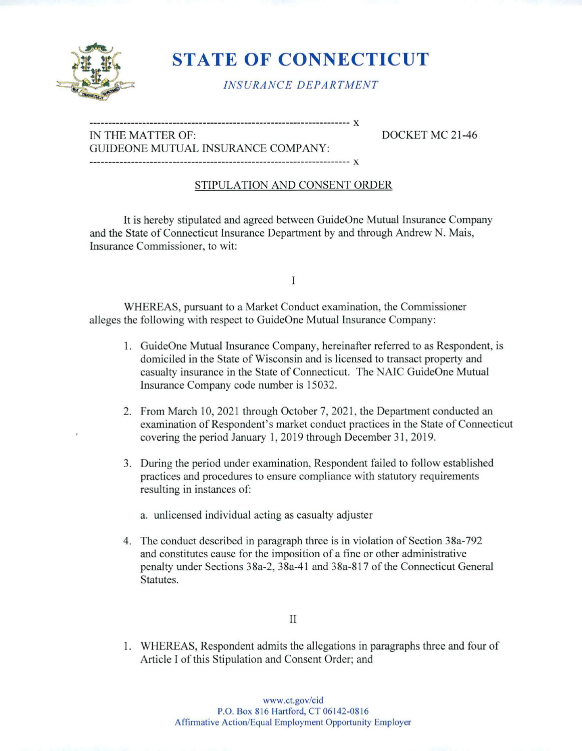

# STATE OF CONNECTICUT

INS URA NCE DEPA R TMENT

### IN THE MATTER OF: DOCKET MC 21 -46 GUIDEONE MUTUAL INSURANCE COMPANY: X

X

## STIPULATION AND CONSENT ORDER

It is hereby stipulated and agreed between GuideOne Mutual Insurance Company and the State of Connecticut Insurance Department by and through Andrew N. Mais, Insurance Commissioner, to wit:

I

WHEREAS, pursuant to a Market Conduct examination, the Commissioner alleges the following with respect to GuideOne Mutual Insurance Company:

- 1. GuideOne Mutual Insurance Company, hereinafter referred to as Respondent, is domiciled in the State of Wisconsin and is licensed to transact property and casualty insurance in the State of Connecticut. The NAIC GuideOne Mutual Insurance Company code number is 15032.
- 2. From March 10, 2021 through October 7, 2021, the Department conducted an examination of Respondent's market conduct practices in the State of Connecticut covering the period January 1, 2019 through December 31, 2019.
- 3. During the period under examination. Respondent failed to follow established practices and procedures to ensure compliance with statutory requirements resulting in instances of:

a. unlicensed individual acting as casualty adjuster

4. The conduct described in paragraph three is in violation of Section 38a-792 and constitutes cause for the imposition of a fine or other administrative penalty under Sections 38a-2, 38a-41 and 38a-817 of the Connecticut General Statutes.

### II

1. WHEREAS, Respondent admits the allegations in paragraphs three and four of Article I of this Stipulation and Consent Order; and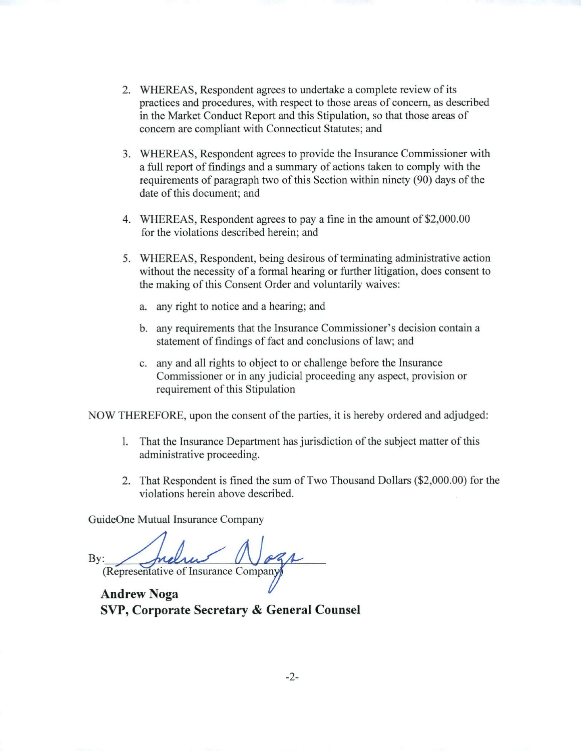- 2. WHEREAS, Respondent agrees to undertake a complete review of its practices and procedures, with respect to those areas of concern, as described in the Market Conduct Report and this Stipulation, so that those areas of concern are compliant with Connecticut Statutes; and
- 3. WHEREAS, Respondent agrees to provide the Insurance Commissioner with a full report of findings and a summary of actions taken to comply with the requirements of paragraph two of this Section within ninety (90) days of the date of this document; and
- 4. WHEREAS, Respondent agrees to pay a fine in the amount of \$2,000.00 for the violations described herein; and
- 5. WHEREAS, Respondent, being desirous of terminating administrative action without the necessity of a formal hearing or further litigation, does consent to the making of this Consent Order and voluntarily waives:
	- a. any right to notice and a hearing; and
	- b. any requirements that the Insurance Commissioner's decision contain a statement of findings of fact and conclusions of law; and
	- c. any and all rights to object to or challenge before the Insurance Commissioner or in any judicial proceeding any aspect, provision or requirement of this Stipulation

NOW THEREFORE, upon the consent of the parties, it is hereby ordered and adjudged:

- 1. That the Insurance Department has jurisdiction of the subject matter of this administrative proceeding.
- 2. That Respondent is fined the sum of Two Thousand Dollars (\$2,000.00) for the violations herein above described.

GuideOne Mutual Insurance Company

By: (Representative of Insurance Company)

Andrew Noga SVP, Corporate Secretary & General Counsel